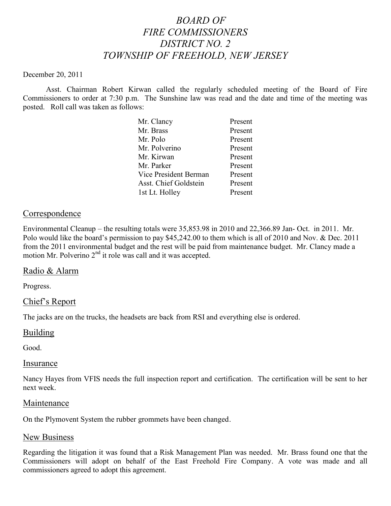# *BOARD OF FIRE COMMISSIONERS DISTRICT NO. 2 TOWNSHIP OF FREEHOLD, NEW JERSEY*

#### December 20, 2011

Asst. Chairman Robert Kirwan called the regularly scheduled meeting of the Board of Fire Commissioners to order at 7:30 p.m. The Sunshine law was read and the date and time of the meeting was posted. Roll call was taken as follows:

| Mr. Clancy            | Present |
|-----------------------|---------|
| Mr. Brass             | Present |
| Mr. Polo              | Present |
| Mr. Polverino         | Present |
| Mr. Kirwan            | Present |
| Mr. Parker            | Present |
| Vice President Berman | Present |
| Asst. Chief Goldstein | Present |
| 1st Lt. Holley        | Present |

## **Correspondence**

Environmental Cleanup – the resulting totals were 35,853.98 in 2010 and 22,366.89 Jan- Oct. in 2011. Mr. Polo would like the board's permission to pay \$45,242.00 to them which is all of 2010 and Nov. & Dec. 2011 from the 2011 environmental budget and the rest will be paid from maintenance budget. Mr. Clancy made a motion Mr. Polverino  $2<sup>nd</sup>$  it role was call and it was accepted.

### Radio & Alarm

Progress.

# Chief's Report

The jacks are on the trucks, the headsets are back from RSI and everything else is ordered.

### Building

Good.

### Insurance

Nancy Hayes from VFIS needs the full inspection report and certification. The certification will be sent to her next week.

#### Maintenance

On the Plymovent System the rubber grommets have been changed.

### New Business

Regarding the litigation it was found that a Risk Management Plan was needed. Mr. Brass found one that the Commissioners will adopt on behalf of the East Freehold Fire Company. A vote was made and all commissioners agreed to adopt this agreement.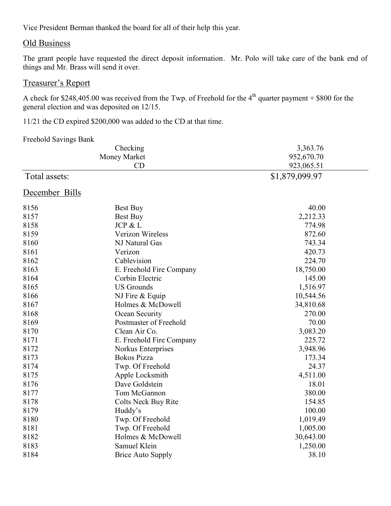Vice President Berman thanked the board for all of their help this year.

## Old Business

The grant people have requested the direct deposit information. Mr. Polo will take care of the bank end of things and Mr. Brass will send it over.

# Treasurer's Report

A check for \$248,405.00 was received from the Twp. of Freehold for the  $4<sup>th</sup>$  quarter payment + \$800 for the general election and was deposited on 12/15.

11/21 the CD expired \$200,000 was added to the CD at that time.

#### Freehold Savings Bank

| Checking       |                          | 3,363.76       |  |
|----------------|--------------------------|----------------|--|
|                | Money Market             | 952,670.70     |  |
|                | CD                       | 923,065.51     |  |
| Total assets:  |                          | \$1,879,099.97 |  |
| December Bills |                          |                |  |
| 8156           | Best Buy                 | 40.00          |  |
| 8157           | Best Buy                 | 2,212.33       |  |
| 8158           | JCP & L                  | 774.98         |  |
| 8159           | Verizon Wireless         | 872.60         |  |
| 8160           | NJ Natural Gas           | 743.34         |  |
| 8161           | Verizon                  | 420.73         |  |
| 8162           | Cablevision              | 224.70         |  |
| 8163           | E. Freehold Fire Company | 18,750.00      |  |
| 8164           | Corbin Electric          | 145.00         |  |
| 8165           | <b>US Grounds</b>        | 1,516.97       |  |
| 8166           | NJ Fire & Equip          | 10,544.56      |  |
| 8167           | Holmes & McDowell        | 34,810.68      |  |
| 8168           | Ocean Security           | 270.00         |  |
| 8169           | Postmaster of Freehold   | 70.00          |  |
| 8170           | Clean Air Co.            | 3,083.20       |  |
| 8171           | E. Freehold Fire Company | 225.72         |  |
| 8172           | Norkus Enterprises       | 3,948.96       |  |
| 8173           | <b>Bokos Pizza</b>       | 173.34         |  |
| 8174           | Twp. Of Freehold         | 24.37          |  |
| 8175           | Apple Locksmith          | 4,511.00       |  |
| 8176           | Dave Goldstein           | 18.01          |  |
| 8177           | Tom McGannon             | 380.00         |  |
| 8178           | Colts Neck Buy Rite      | 154.85         |  |
| 8179           | Huddy's                  | 100.00         |  |
| 8180           | Twp. Of Freehold         | 1,019.49       |  |
| 8181           | Twp. Of Freehold         | 1,005.00       |  |
| 8182           | Holmes & McDowell        | 30,643.00      |  |
| 8183           | Samuel Klein             | 1,250.00       |  |
| 8184           | <b>Brice Auto Supply</b> | 38.10          |  |